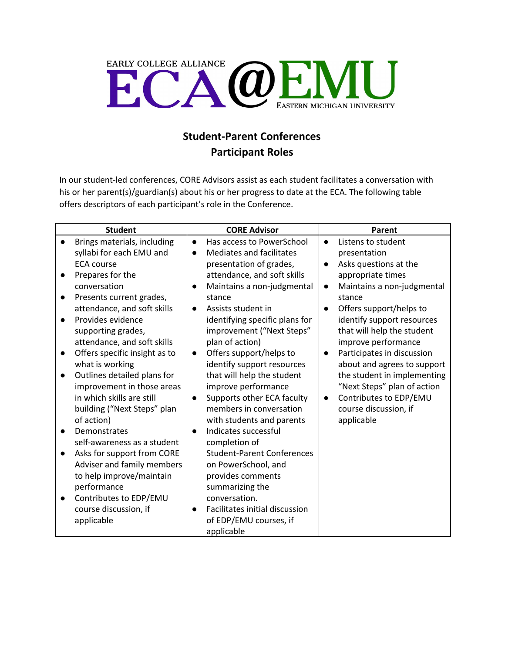

## **Student-Parent Conferences Participant Roles**

In our student-led conferences, CORE Advisors assist as each student facilitates a conversation with his or her parent(s)/guardian(s) about his or her progress to date at the ECA. The following table offers descriptors of each participant's role in the Conference.

| <b>Student</b> |                               | <b>CORE Advisor</b> |                                   | Parent    |                             |
|----------------|-------------------------------|---------------------|-----------------------------------|-----------|-----------------------------|
|                | Brings materials, including   | $\bullet$           | Has access to PowerSchool         | $\bullet$ | Listens to student          |
|                | syllabi for each EMU and      | $\bullet$           | <b>Mediates and facilitates</b>   |           | presentation                |
|                | <b>ECA course</b>             |                     | presentation of grades,           | $\bullet$ | Asks questions at the       |
| $\bullet$      | Prepares for the              |                     | attendance, and soft skills       |           | appropriate times           |
|                | conversation                  |                     | Maintains a non-judgmental        | $\bullet$ | Maintains a non-judgmental  |
| $\bullet$      | Presents current grades,      |                     | stance                            |           | stance                      |
|                | attendance, and soft skills   | $\bullet$           | Assists student in                | $\bullet$ | Offers support/helps to     |
|                | Provides evidence             |                     | identifying specific plans for    |           | identify support resources  |
|                | supporting grades,            |                     | improvement ("Next Steps"         |           | that will help the student  |
|                | attendance, and soft skills   |                     | plan of action)                   |           | improve performance         |
| $\bullet$      | Offers specific insight as to | $\bullet$           | Offers support/helps to           |           | Participates in discussion  |
|                | what is working               |                     | identify support resources        |           | about and agrees to support |
| $\bullet$      | Outlines detailed plans for   |                     | that will help the student        |           | the student in implementing |
|                | improvement in those areas    |                     | improve performance               |           | "Next Steps" plan of action |
|                | in which skills are still     | $\bullet$           | Supports other ECA faculty        | $\bullet$ | Contributes to EDP/EMU      |
|                | building ("Next Steps" plan   |                     | members in conversation           |           | course discussion, if       |
|                | of action)                    |                     | with students and parents         |           | applicable                  |
|                | Demonstrates                  |                     | Indicates successful              |           |                             |
|                | self-awareness as a student   |                     | completion of                     |           |                             |
| $\bullet$      | Asks for support from CORE    |                     | <b>Student-Parent Conferences</b> |           |                             |
|                | Adviser and family members    |                     | on PowerSchool, and               |           |                             |
|                | to help improve/maintain      |                     | provides comments                 |           |                             |
|                | performance                   |                     | summarizing the                   |           |                             |
| $\bullet$      | Contributes to EDP/EMU        |                     | conversation.                     |           |                             |
|                | course discussion, if         |                     | Facilitates initial discussion    |           |                             |
|                | applicable                    |                     | of EDP/EMU courses, if            |           |                             |
|                |                               |                     | applicable                        |           |                             |